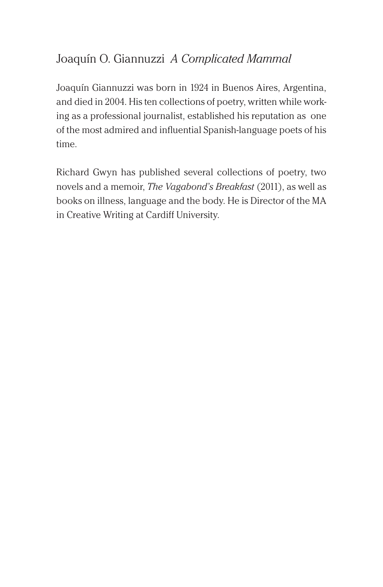# Joaquín O. Giannuzzi *A Complicated Mammal*

Joaquín Giannuzzi was born in 1924 in Buenos Aires, Argentina, and died in 2004. His ten collections of poetry, written while working as a professional journalist, established his reputation as one of the most admired and influential Spanish-language poets of his time.

Richard Gwyn has published several collections of poetry, two novels and a memoir, *The Vagabond's Breakfast* (2011), as well as books on illness, language and the body. He is Director of the MA in Creative Writing at Cardiff University.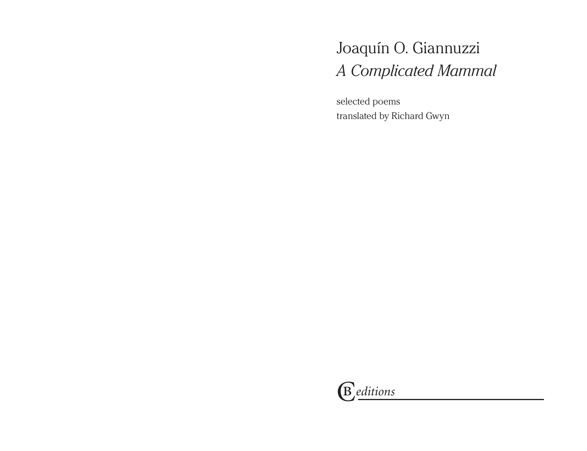# Joaquín O. Giannuzzi *A Complicated Mammal*

selected poems translated by Richard Gwyn

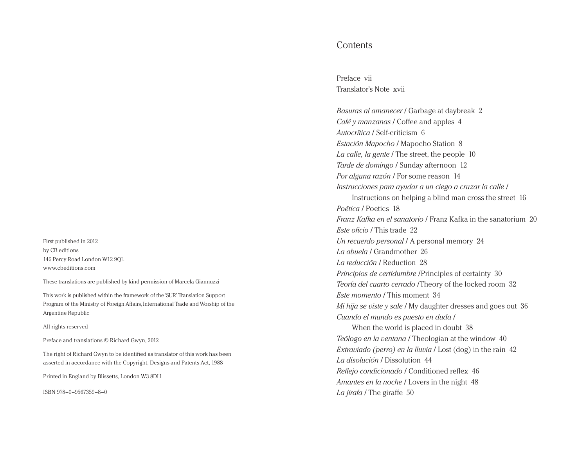First published in 2012 by CB editions 146 Percy Road London W12 9QL www.cbeditions.com

These translations are published by kind permission of Marcela Giannuzzi

This work is published within the framework of the 'SUR' Translation Support Program of the Ministry of Foreign Affairs, International Trade and Worship of the Argentine Republic

All rights reserved

Preface and translations © Richard Gwyn, 2012

The right of Richard Gwyn to be identified as translator of this work has been asserted in accordance with the Copyright, Designs and Patents Act, 1988

Printed in England by Blissetts, London W3 8DH

ISBN 978–0–9567359–8–0

## **Contents**

Preface vii Translator's Note xvii

*Basuras al amanecer* / Garbage at daybreak 2 *Café y manzanas* / Coffee and apples 4 *Autocrítica* / Self-criticism 6 *Estación Mapocho* / Mapocho Station 8 *La calle, la gente* / The street, the people 10 *Tarde de domingo* / Sunday afternoon 12 *Por alguna razón* / For some reason 14 *Instrucciones para ayudar a un ciego a cruzar la calle* / Instructions on helping a blind man cross the street 16 *Poética* / Poetics 18 *Franz Kafka en el sanatorio* / Franz Kafka in the sanatorium 20 *Este oficio* / This trade 22 *Un recuerdo personal* / A personal memory 24 *La abuela* / Grandmother 26 *La reducción* / Reduction 28 *Principios de certidumbre* /Principles of certainty 30 *Teoría del cuarto cerrado* /Theory of the locked room 32 *Este momento* / This moment 34 *Mi hija se viste y sale* / My daughter dresses and goes out 36 *Cuando el mundo es puesto en duda* / When the world is placed in doubt 38 *Teólogo en la ventana* / Theologian at the window 40 *Extraviado (perro) en la lluvia* / Lost (dog) in the rain 42 *La disolución* / Dissolution 44 *Reflejo condicionado* / Conditioned reflex 46 *Amantes en la noche* / Lovers in the night 48 *La jirafa* / The giraffe 50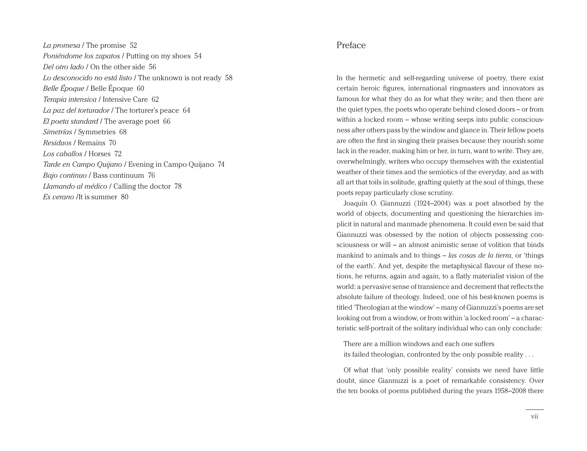*La promesa* / The promise 52 *Poniéndome los zapatos* / Putting on my shoes 54 *Del otro lado* / On the other side 56 *Lo desconocido no está listo* / The unknown is not ready 58 *Belle Époque* / Belle Époque 60 *Terapia intensiva* / Intensive Care 62 *La paz del torturador* / The torturer's peace 64 *El poeta standard* / The average poet 66 *Simetrías* / Symmetries 68 *Residuos* / Remains 70 *Los caballos* / Horses 72 *Tarde en Campo Quijano* / Evening in Campo Quijano 74 *Bajo continuo* / Bass continuum 76 *Llamando al médico* / Calling the doctor 78 *Es verano* /It is summer 80

## Preface

In the hermetic and self-regarding universe of poetry, there exist certain heroic figures, international ringmasters and innovators as famous for what they do as for what they write; and then there are the quiet types, the poets who operate behind closed doors – or from within a locked room – whose writing seeps into public consciousness after others pass by the window and glance in. Their fellow poets are often the first in singing their praises because they nourish some lack in the reader, making him or her, in turn, want to write. They are, overwhelmingly, writers who occupy themselves with the existential weather of their times and the semiotics of the everyday, and as with all art that toils in solitude, grafting quietly at the soul of things, these poets repay particularly close scrutiny.

Joaquín O. Giannuzzi (1924–2004) was a poet absorbed by the world of objects, documenting and questioning the hierarchies implicit in natural and manmade phenomena. It could even be said that Giannuzzi was obsessed by the notion of objects possessing consciousness or will – an almost animistic sense of volition that binds mankind to animals and to things – *las cosas de la tierra*, or 'things of the earth'. And yet, despite the metaphysical flavour of these notions, he returns, again and again, to a flatly materialist vision of the world: a pervasive sense of transience and decrement that reflects the absolute failure of theology. Indeed, one of his best-known poems is titled 'Theologian at the window' – many of Giannuzzi's poems are set looking out from a window, or from within 'a locked room' – a characteristic self-portrait of the solitary individual who can only conclude:

There are a million windows and each one suffers its failed theologian, confronted by the only possible reality . . .

Of what that 'only possible reality' consists we need have little doubt, since Giannuzzi is a poet of remarkable consistency. Over the ten books of poems published during the years 1958–2008 there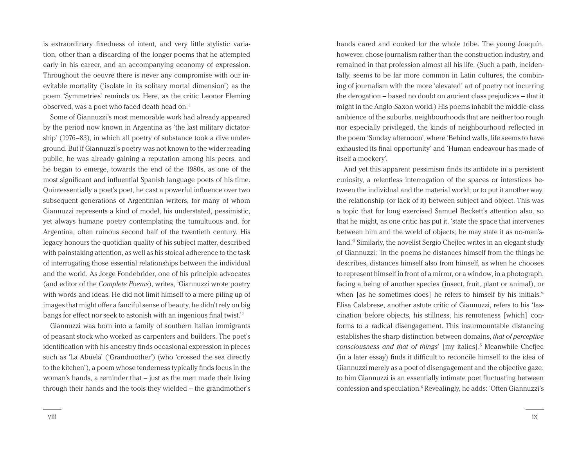is extraordinary fixedness of intent, and very little stylistic variation, other than a discarding of the longer poems that he attempted early in his career, and an accompanying economy of expression. Throughout the oeuvre there is never any compromise with our inevitable mortality ('isolate in its solitary mortal dimension') as the poem 'Symmetries' reminds us. Here, as the critic Leonor Fleming observed, was a poet who faced death head on.<sup>1</sup>

Some of Giannuzzi's most memorable work had already appeared by the period now known in Argentina as 'the last military dictatorship' (1976–83), in which all poetry of substance took a dive underground. But if Giannuzzi's poetry was not known to the wider reading public, he was already gaining a reputation among his peers, and he began to emerge, towards the end of the 1980s, as one of the most significant and influential Spanish language poets of his time. Quintessentially a poet's poet, he cast a powerful influence over two subsequent generations of Argentinian writers, for many of whom Giannuzzi represents a kind of model, his understated, pessimistic, yet always humane poetry contemplating the tumultuous and, for Argentina, often ruinous second half of the twentieth century. His legacy honours the quotidian quality of his subject matter, described with painstaking attention, as well as his stoical adherence to the task of interrogating those essential relationships between the individual and the world. As Jorge Fondebrider, one of his principle advocates (and editor of the *Complete Poems*), writes, 'Giannuzzi wrote poetry with words and ideas. He did not limit himself to a mere piling up of images that might offer a fanciful sense of beauty, he didn't rely on big bangs for effect nor seek to astonish with an ingenious final twist.'2

Giannuzzi was born into a family of southern Italian immigrants of peasant stock who worked as carpenters and builders. The poet's identification with his ancestry finds occasional expression in pieces such as 'La Abuela' ('Grandmother') (who 'crossed the sea directly to the kitchen'), a poem whose tenderness typically finds focus in the woman's hands, a reminder that – just as the men made their living through their hands and the tools they wielded – the grandmother's

hands cared and cooked for the whole tribe. The young Joaquín, however, chose journalism rather than the construction industry, and remained in that profession almost all his life. (Such a path, incidentally, seems to be far more common in Latin cultures, the combining of journalism with the more 'elevated' art of poetry not incurring the derogation – based no doubt on ancient class prejudices – that it might in the Anglo-Saxon world.) His poems inhabit the middle-class ambience of the suburbs, neighbourhoods that are neither too rough nor especially privileged, the kinds of neighbourhood reflected in the poem 'Sunday afternoon', where 'Behind walls, life seems to have exhausted its final opportunity' and 'Human endeavour has made of itself a mockery'.

And yet this apparent pessimism finds its antidote in a persistent curiosity, a relentless interrogation of the spaces or interstices between the individual and the material world; or to put it another way, the relationship (or lack of it) between subject and object. This was a topic that for long exercised Samuel Beckett's attention also, so that he might, as one critic has put it, 'state the space that intervenes between him and the world of objects; he may state it as no-man'sland.'3 Similarly, the novelist Sergio Chejfec writes in an elegant study of Giannuzzi: 'In the poems he distances himself from the things he describes, distances himself also from himself, as when he chooses to represent himself in front of a mirror, or a window, in a photograph, facing a being of another species (insect, fruit, plant or animal), or when [as he sometimes does] he refers to himself by his initials.'4 Elisa Calabrese, another astute critic of Giannuzzi, refers to his 'fascination before objects, his stillness, his remoteness [which] conforms to a radical disengagement. This insurmountable distancing establishes the sharp distinction between domains, *that of perceptive consciousness and that of things*' [my italics].5 Meanwhile Chefjec (in a later essay) finds it difficult to reconcile himself to the idea of Giannuzzi merely as a poet of disengagement and the objective gaze: to him Giannuzzi is an essentially intimate poet fluctuating between confession and speculation.<sup>6</sup> Revealingly, he adds: 'Often Giannuzzi's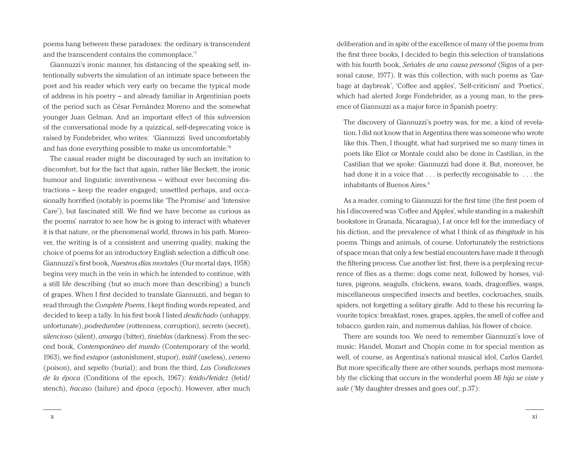poems hang between these paradoxes: the ordinary is transcendent and the transcendent contains the commonplace.'7

Giannuzzi's ironic manner, his distancing of the speaking self, intentionally subverts the simulation of an intimate space between the poet and his reader which very early on became the typical mode of address in his poetry – and already familiar in Argentinian poets of the period such as César Fernández Moreno and the somewhat younger Juan Gelman. And an important effect of this subversion of the conversational mode by a quizzical, self-deprecating voice is raised by Fondebrider, who writes: 'Giannuzzi lived uncomfortably and has done everything possible to make us uncomfortable.'8

The casual reader might be discouraged by such an invitation to discomfort, but for the fact that again, rather like Beckett, the ironic humour and linguistic inventiveness – without ever becoming distractions – keep the reader engaged; unsettled perhaps, and occasionally horrified (notably in poems like 'The Promise' and 'Intensive Care'), but fascinated still. We find we have become as curious as the poems' narrator to see how he is going to interact with whatever it is that nature, or the phenomenal world, throws in his path. Moreover, the writing is of a consistent and unerring quality, making the choice of poems for an introductory English selection a difficult one. Giannuzzi's first book, *Nuestros días mortales* (Our mortal days, 1958) begins very much in the vein in which he intended to continue, with a still life describing (but so much more than describing) a bunch of grapes. When I first decided to translate Giannuzzi, and began to read through the *Complete Poems*, I kept finding words repeated, and decided to keep a tally. In his first book I listed *desdichado* (unhappy, unfortunate), *podredumbre* (rottenness, corruption), *secreto* (secret), *silencioso* (silent), *amarga* (bitter), *tinieblas* (darkness). From the second book, *Contemporáneo del mundo* (Contemporary of the world, 1963), we find *estupor* (astonishment, stupor), *inútil* (useless), *veneno* (poison), and *sepelio* (burial); and from the third, *Las Condiciones de la época* (Conditions of the epoch, 1967): *fetido/fetidez* (fetid/ stench), *fracaso* (failure) and *época* (epoch). However, after much

deliberation and in spite of the excellence of many of the poems from the first three books, I decided to begin this selection of translations with his fourth book, *Señales de una causa personal* (Signs of a personal cause, 1977). It was this collection, with such poems as 'Garbage at daybreak', 'Coffee and apples', 'Self-criticism' and 'Poetics', which had alerted Jorge Fondebrider, as a young man, to the presence of Giannuzzi as a major force in Spanish poetry:

The discovery of Giannuzzi's poetry was, for me, a kind of revelation. I did not know that in Argentina there was someone who wrote like this. Then, I thought, what had surprised me so many times in poets like Eliot or Montale could also be done in Castilian, in the Castilian that we spoke: Giannuzzi had done it. But, moreover, he had done it in a voice that . . . is perfectly recognisable to . . . the inhabitants of Buenos Aires.9

As a reader, coming to Giannuzzi for the first time (the first poem of his I discovered was 'Coffee and Apples', while standing in a makeshift bookstore in Granada, Nicaragua), I at once fell for the immediacy of his diction, and the prevalence of what I think of as *thingitude* in his poems. Things and animals, of course. Unfortunately the restrictions of space mean that only a few bestial encounters have made it through the filtering process. Cue another list: first, there is a perplexing recurrence of flies as a theme; dogs come next, followed by horses, vultures, pigeons, seagulls, chickens, swans, toads, dragonflies, wasps, miscellaneous unspecified insects and beetles, cockroaches, snails, spiders, not forgetting a solitary giraffe. Add to these his recurring favourite topics: breakfast, roses, grapes, apples, the smell of coffee and tobacco, garden rain, and numerous dahlias, his flower of choice.

There are sounds too. We need to remember Giannuzzi's love of music: Handel, Mozart and Chopin come in for special mention as well, of course, as Argentina's national musical idol, Carlos Gardel. But more specifically there are other sounds, perhaps most memorably the clicking that occurs in the wonderful poem *Mi hija se viste y sale* ('My daughter dresses and goes out', p.37):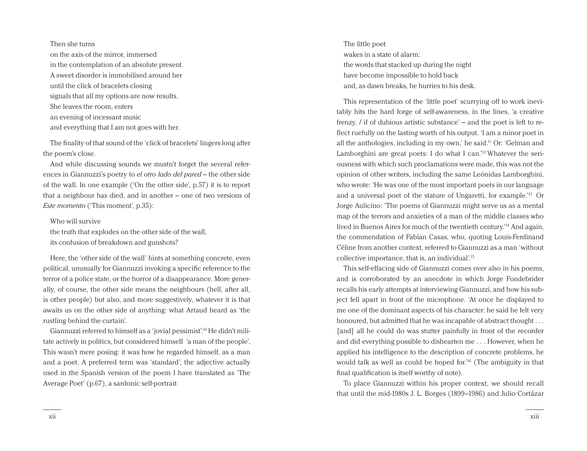### Then she turns

on the axis of the mirror, immersed in the contemplation of an absolute present. A sweet disorder is immobilised around her until the click of bracelets closing signals that all my options are now results. She leaves the room, enters an evening of incessant music and everything that I am not goes with her.

The finality of that sound of the 'click of bracelets' lingers long after the poem's close.

And while discussing sounds we mustn't forget the several references in Giannuzzi's poetry to *el otro lado del pared* – the other side of the wall. In one example ('On the other side', p.57) it is to report that a neighbour has died, and in another – one of two versions of *Este momento* ('This moment', p.35):

## Who will survive

the truth that explodes on the other side of the wall, its confusion of breakdown and gunshots?

Here, the 'other side of the wall' hints at something concrete, even political, unusually for Giannuzzi invoking a specific reference to the terror of a police state, or the horror of a disappearance. More generally, of course, the other side means the neighbours (hell, after all, is other people) but also, and more suggestively, whatever it is that awaits us on the other side of anything: what Artaud heard as 'the rustling behind the curtain'.

Giannuzzi referred to himself as a 'jovial pessimist'.10 He didn't militate actively in politics, but considered himself 'a man of the people'. This wasn't mere posing: it was how he regarded himself, as a man and a poet. A preferred term was 'standard', the adjective actually used in the Spanish version of the poem I have translated as 'The Average Poet' (p.67), a sardonic self-portrait:

The little poet wakes in a state of alarm: the words that stacked up during the night have become impossible to hold back and, as dawn breaks, he hurries to his desk.

This representation of the 'little poet' scurrying off to work inevitably hits the hard forge of self-awareness, in the lines, 'a creative frenzy, / if of dubious artistic substance' – and the poet is left to reflect ruefully on the lasting worth of his output. 'I am a minor poet in all the anthologies, including in my own,' he said.11 Or: 'Gelman and Lamborghini are great poets: I do what I can.'12 Whatever the seriousness with which such proclamations were made, this was not the opinion of other writers, including the same Leónidas Lamborghini, who wrote: 'He was one of the most important poets in our language and a universal poet of the stature of Ungaretti, for example.'13 Or Jorge Aulicino: 'The poems of Giannuzzi might serve us as a mental map of the terrors and anxieties of a man of the middle classes who lived in Buenos Aires for much of the twentieth century.'14 And again, the commendation of Fabían Casas, who, quoting Louis-Ferdinand Céline from another context, referred to Giannuzzi as a man 'without collective importance, that is, an individual'.15

This self-effacing side of Giannuzzi comes over also in his poems, and is corroborated by an anecdote in which Jorge Fondebrider recalls his early attempts at interviewing Giannuzzi, and how his subject fell apart in front of the microphone. 'At once he displayed to me one of the dominant aspects of his character: he said he felt very honoured, but admitted that he was incapable of abstract thought . . . [and] all he could do was stutter painfully in front of the recorder and did everything possible to dishearten me . . . However, when he applied his intelligence to the description of concrete problems, he would talk as well as could be hoped for.'16 (The ambiguity in that final qualification is itself worthy of note).

To place Giannuzzi within his proper context, we should recall that until the mid-1980s J. L. Borges (1899–1986) and Julio Cortázar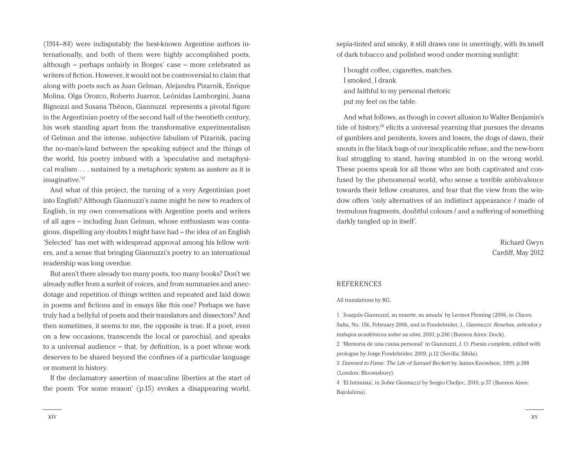(1914–84) were indisputably the best-known Argentine authors internationally, and both of them were highly accomplished poets, although – perhaps unfairly in Borges' case – more celebrated as writers of fiction. However, it would not be controversial to claim that along with poets such as Juan Gelman, Alejandra Pizarnik, Enrique Molina, Olga Orozco, Roberto Juarroz, Leónidas Lamborgini, Juana Bignozzi and Susana Thénon, Giannuzzi represents a pivotal figure in the Argentinian poetry of the second half of the twentieth century, his work standing apart from the transformative experimentalism of Gelman and the intense, subjective fabulism of Pizarnik, pacing the no-man's-land between the speaking subject and the things of the world, his poetry imbued with a 'speculative and metaphysical realism . . . sustained by a metaphoric system as austere as it is imaginative.'17

And what of this project, the turning of a very Argentinian poet into English? Although Giannuzzi's name might be new to readers of English, in my own conversations with Argentine poets and writers of all ages – including Juan Gelman, whose enthusiasm was contagious, dispelling any doubts I might have had – the idea of an English 'Selected' has met with widespread approval among his fellow writers, and a sense that bringing Giannuzzi's poetry to an international readership was long overdue.

But aren't there already too many poets, too many books? Don't we already suffer from a surfeit of voices, and from summaries and anecdotage and repetition of things written and repeated and laid down in poems and fictions and in essays like this one? Perhaps we have truly had a bellyful of poets and their translators and dissectors? And then sometimes, it seems to me, the opposite is true. If a poet, even on a few occasions, transcends the local or parochial, and speaks to a universal audience – that, by definition, is a poet whose work deserves to be shared beyond the confines of a particular language or moment in history.

If the declamatory assertion of masculine liberties at the start of the poem 'For some reason' (p.15) evokes a disappearing world,

sepia-tinted and smoky, it still draws one in unerringly, with its smell of dark tobacco and polished wood under morning sunlight:

I bought coffee, cigarettes, matches. I smoked, I drank and faithful to my personal rhetoric put my feet on the table.

And what follows, as though in covert allusion to Walter Benjamin's tide of history, $18$  elicits a universal yearning that pursues the dreams of gamblers and penitents, lovers and losers, the dogs of dawn, their snouts in the black bags of our inexplicable refuse, and the new-born foal struggling to stand, having stumbled in on the wrong world. These poems speak for all those who are both captivated and confused by the phenomenal world, who sense a terrible ambivalence towards their fellow creatures, and fear that the view from the window offers 'only alternatives of an indistinct appearance / made of tremulous fragments, doubtful colours / and a suffering of something darkly tangled up in itself'.

> Richard Gwyn Cardiff, May 2012

## **REFERENCES**

#### All translations by RG.

1 'Joaquín Giannuzzi, su muerte, su amada' by Leonor Fleming (2006, in *Claves*, Salta, No. 156, February 2006, and in Fondebrider, J., *Giannuzzi: Reseñas, artículos y trabajos académicos sobre su obra*, 2010, p.246 (Buenos Aires: Dock). 2 'Memoria de una causa personal' in Giannuzzi, J. O. *Poesía completa*, edited with prologue by Jorge Fondebrider, 2009, p.12 (Sevilla: Sibila). 3 *Damned to Fame: The Life of Samuel Beckett* by James Knowlson, 1999, p.188

(London: Bloomsbury).

4 'El Intimista', in *Sobre Giannuzzi* by Sergio Chefjec, 2010, p.57 (Buenos Aires: Bajolaluna).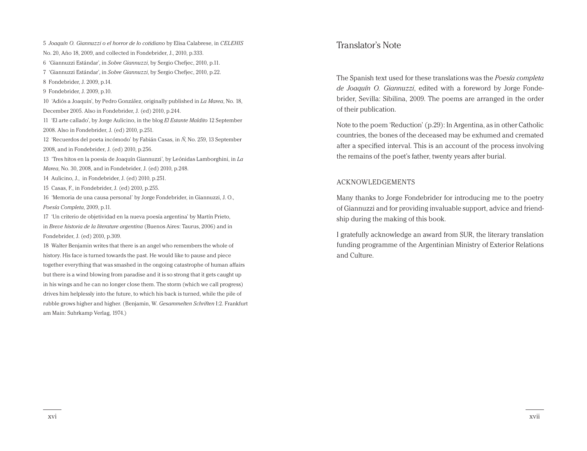No. 20, Año 18, 2009, and collected in Fondebrider, J., 2010, p.333. 'Giannuzzi Estándar', in *Sobre Giannuzzi*, by Sergio Chefjec, 2010, p.11. 'Giannuzzi Estándar', in *Sobre Giannuzzi*, by Sergio Chefjec, 2010, p.22. Fondebrider, J. 2009, p.14. Fondebrider, J. 2009, p.10. 'Adiós a Joaquín', by Pedro González, originally published in *La Marea*, No. 18, December 2005. Also in Fondebrider, J. (ed) 2010, p.244. 'El arte callado', by Jorge Aulicino, in the blog *El Estante Maldito* 12 September 2008. Also in Fondebrider, J. (ed) 2010, p.251. 'Recuerdos del poeta incómodo' by Fabián Casas, in *Ñ*, No. 259, 13 September 2008, and in Fondebrider, J. (ed) 2010, p.256. 'Tres hitos en la poesía de Joaquín Giannuzzi', by Leónidas Lamborghini, in *La Marea*, No. 30, 2008, and in Fondebrider, J. (ed) 2010, p.248. Aulicino, J., in Fondebrider, J. (ed) 2010, p.251. Casas, F., in Fondebrider, J. (ed) 2010, p.255. 'Memoria de una causa personal' by Jorge Fondebrider, in Giannuzzi, J. O., *Poesía Completa*, 2009, p.11. 'Un criterio de objetividad en la nueva poesía argentina' by Martín Prieto,

5 *Joaquín O. Giannuzzi o el horror de lo cotidiano* by Elisa Calabrese, in *CELEHIS* 

in *Breve historia de la literature argentina* (Buenos Aires: Taurus, 2006) and in Fondebrider, J. (ed) 2010, p.309.

18 Walter Benjamin writes that there is an angel who remembers the whole of history. His face is turned towards the past. He would like to pause and piece together everything that was smashed in the ongoing catastrophe of human affairs but there is a wind blowing from paradise and it is so strong that it gets caught up in his wings and he can no longer close them. The storm (which we call progress) drives him helplessly into the future, to which his back is turned, while the pile of rubble grows higher and higher. (Benjamin, W. *Gesammelten Schriften* I:2. Frankfurt am Main: Suhrkamp Verlag, 1974.)

## Translator's Note

The Spanish text used for these translations was the *Poesía completa de Joaquín O. Giannuzzi*, edited with a foreword by Jorge Fondebrider, Sevilla: Sibilina, 2009. The poems are arranged in the order of their publication.

Note to the poem 'Reduction' (p.29): In Argentina, as in other Catholic countries, the bones of the deceased may be exhumed and cremated after a specified interval. This is an account of the process involving the remains of the poet's father, twenty years after burial.

## ACKNOWLEDGEMENTS

Many thanks to Jorge Fondebrider for introducing me to the poetry of Giannuzzi and for providing invaluable support, advice and friendship during the making of this book.

I gratefully acknowledge an award from SUR, the literary translation funding programme of the Argentinian Ministry of Exterior Relations and Culture.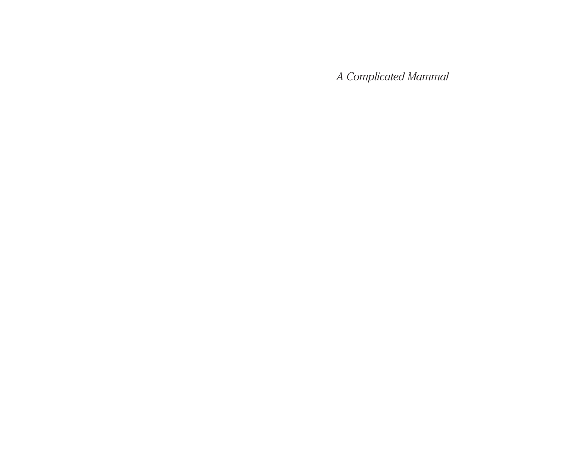*A Complicated Mammal*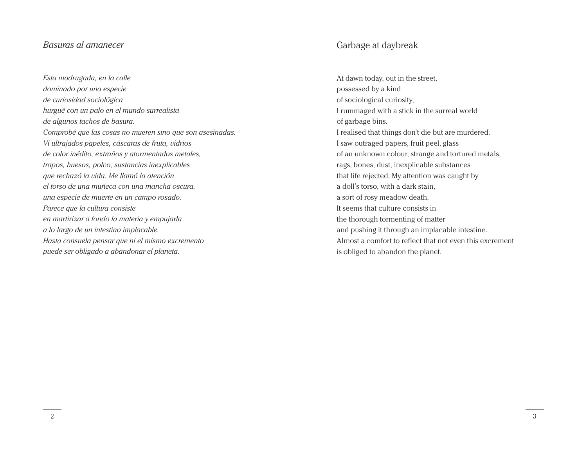# *Basuras al amanecer*

*Esta madrugada, en la calle dominado por una especie de curiosidad sociológica hurgué con un palo en el mundo surrealista de algunos tachos de basura. Comprobé que las cosas no mueren sino que son asesinadas. Vi ultrajados papeles, cáscaras de fruta, vidrios de color inédito, extraños y atormentados metales, trapos, huesos, polvo, sustancias inexplicables que rechazó la vida. Me llamó la atención el torso de una muñeca con una mancha oscura, una especie de muerte en un campo rosado. Parece que la cultura consiste en martirizar a fondo la materia y empujarla a lo largo de un intestino implacable. Hasta consuela pensar que ni el mismo excremento puede ser obligado a abandonar el planeta.*

# Garbage at daybreak

At dawn today, out in the street, possessed by a kind of sociological curiosity, I rummaged with a stick in the surreal world of garbage bins. I realised that things don't die but are murdered. I saw outraged papers, fruit peel, glass of an unknown colour, strange and tortured metals, rags, bones, dust, inexplicable substances that life rejected. My attention was caught by a doll's torso, with a dark stain, a sort of rosy meadow death. It seems that culture consists in the thorough tormenting of matter and pushing it through an implacable intestine. Almost a comfort to reflect that not even this excrement is obliged to abandon the planet.